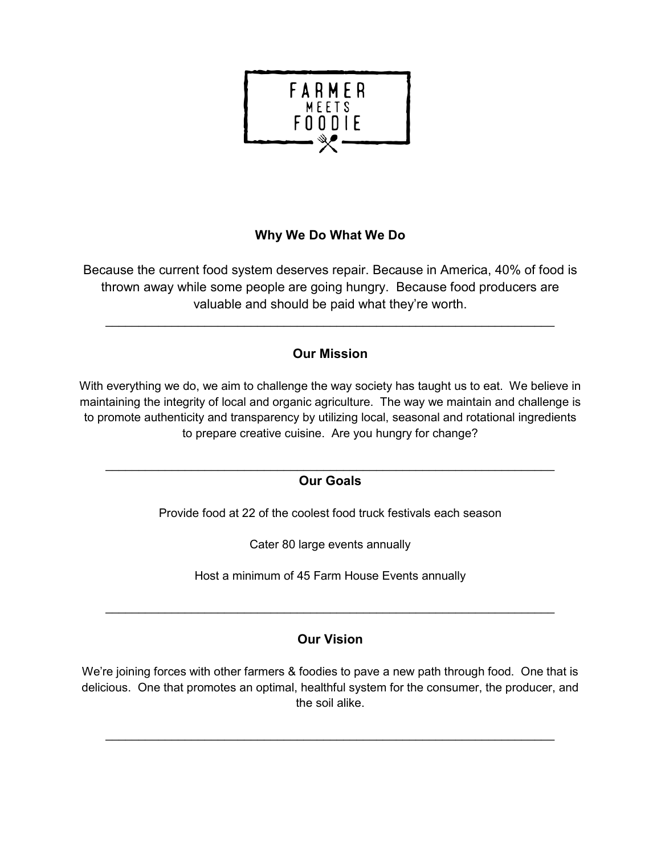

## **Why We Do What We Do**

Because the current food system deserves repair. Because in America, 40% of food is thrown away while some people are going hungry. Because food producers are valuable and should be paid what they're worth.

## **Our Mission**

\_\_\_\_\_\_\_\_\_\_\_\_\_\_\_\_\_\_\_\_\_\_\_\_\_\_\_\_\_\_\_\_\_\_\_\_\_\_\_\_\_\_\_\_\_\_\_\_\_\_\_\_\_\_\_\_\_\_\_\_\_\_\_\_\_\_\_\_

With everything we do, we aim to challenge the way society has taught us to eat. We believe in maintaining the integrity of local and organic agriculture. The way we maintain and challenge is to promote authenticity and transparency by utilizing local, seasonal and rotational ingredients to prepare creative cuisine. Are you hungry for change?

### $\_$  , and the contribution of the contribution of  $\mathcal{L}_\mathcal{A}$  , and the contribution of  $\mathcal{L}_\mathcal{A}$ **Our Goals**

Provide food at 22 of the coolest food truck festivals each season

Cater 80 large events annually

Host a minimum of 45 Farm House Events annually

 $\mathcal{L}_\text{max} = \mathcal{L}_\text{max} = \mathcal{L}_\text{max} = \mathcal{L}_\text{max} = \mathcal{L}_\text{max} = \mathcal{L}_\text{max} = \mathcal{L}_\text{max} = \mathcal{L}_\text{max} = \mathcal{L}_\text{max} = \mathcal{L}_\text{max} = \mathcal{L}_\text{max} = \mathcal{L}_\text{max} = \mathcal{L}_\text{max} = \mathcal{L}_\text{max} = \mathcal{L}_\text{max} = \mathcal{L}_\text{max} = \mathcal{L}_\text{max} = \mathcal{L}_\text{max} = \mathcal{$ 

## **Our Vision**

We're joining forces with other farmers & foodies to pave a new path through food. One that is delicious. One that promotes an optimal, healthful system for the consumer, the producer, and the soil alike.

 $\_$  , and the contribution of the contribution of  $\mathcal{L}_\mathcal{A}$  , and the contribution of  $\mathcal{L}_\mathcal{A}$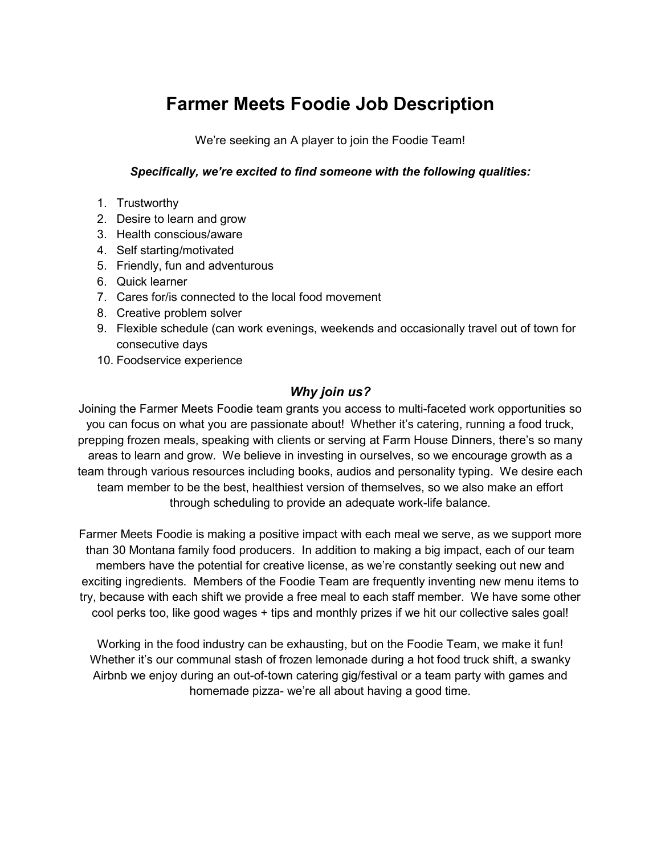# **Farmer Meets Foodie Job Description**

We're seeking an A player to join the Foodie Team!

#### *Specifically, we're excited to find someone with the following qualities:*

- 1. Trustworthy
- 2. Desire to learn and grow
- 3. Health conscious/aware
- 4. Self starting/motivated
- 5. Friendly, fun and adventurous
- 6. Quick learner
- 7. Cares for/is connected to the local food movement
- 8. Creative problem solver
- 9. Flexible schedule (can work evenings, weekends and occasionally travel out of town for consecutive days
- 10. Foodservice experience

### *Why join us?*

Joining the Farmer Meets Foodie team grants you access to multi-faceted work opportunities so you can focus on what you are passionate about! Whether it's catering, running a food truck, prepping frozen meals, speaking with clients or serving at Farm House Dinners, there's so many areas to learn and grow. We believe in investing in ourselves, so we encourage growth as a team through various resources including books, audios and personality typing. We desire each team member to be the best, healthiest version of themselves, so we also make an effort through scheduling to provide an adequate work-life balance.

Farmer Meets Foodie is making a positive impact with each meal we serve, as we support more than 30 Montana family food producers. In addition to making a big impact, each of our team members have the potential for creative license, as we're constantly seeking out new and exciting ingredients. Members of the Foodie Team are frequently inventing new menu items to try, because with each shift we provide a free meal to each staff member. We have some other cool perks too, like good wages + tips and monthly prizes if we hit our collective sales goal!

Working in the food industry can be exhausting, but on the Foodie Team, we make it fun! Whether it's our communal stash of frozen lemonade during a hot food truck shift, a swanky Airbnb we enjoy during an out-of-town catering gig/festival or a team party with games and homemade pizza- we're all about having a good time.